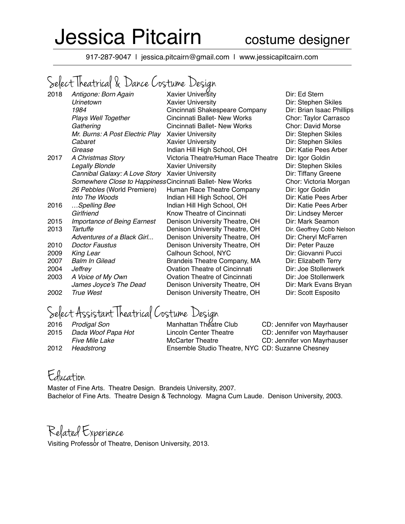# Jessica Pitcairn costume designer

917-287-9047 | jessica.pitcairn@gmail.com | www.jessicapitcairn.com

### Select Theatrical & Dance Costume Design

| 2018 | Antigone: Born Again                                      | <b>Xavier University</b>             |
|------|-----------------------------------------------------------|--------------------------------------|
|      | Urinetown                                                 | <b>Xavier University</b>             |
|      | 1984                                                      | Cincinnati Shakespeare Company       |
|      | Plays Well Together                                       | Cincinnati Ballet- New Works         |
|      | Gathering                                                 | Cincinnati Ballet- New Works         |
|      | Mr. Burns: A Post Electric Play                           | <b>Xavier University</b>             |
|      | Cabaret                                                   | <b>Xavier University</b>             |
|      | Grease                                                    | Indian Hill High School, OH          |
| 2017 | A Christmas Story                                         | Victoria Theatre/Human Race Theatre  |
|      | Legally Blonde                                            | <b>Xavier University</b>             |
|      | Cannibal Galaxy: A Love Story                             | <b>Xavier University</b>             |
|      | Somewhere Close to Happiness Cincinnati Ballet- New Works |                                      |
|      | 26 Pebbles (World Premiere)                               | Human Race Theatre Company           |
|      | Into The Woods                                            | Indian Hill High School, OH          |
| 2016 | Spelling Bee                                              | Indian Hill High School, OH          |
|      | Girlfriend                                                | Know Theatre of Cincinnati           |
| 2015 | <b>Importance of Being Earnest</b>                        | Denison University Theatre, OH       |
| 2013 | Tartuffe                                                  | Denison University Theatre, OH       |
|      | Adventures of a Black Girl                                | Denison University Theatre, OH       |
| 2010 | <b>Doctor Faustus</b>                                     | Denison University Theatre, OH       |
| 2009 | King Lear                                                 | Calhoun School, NYC                  |
| 2007 | <b>Balm In Gilead</b>                                     | Brandeis Theatre Company, MA         |
| 2004 | Jeffrey                                                   | <b>Ovation Theatre of Cincinnati</b> |
| 2003 | A Voice of My Own                                         | <b>Ovation Theatre of Cincinnati</b> |
|      | James Joyce's The Dead                                    | Denison University Theatre, OH       |
| 2002 | <b>True West</b>                                          | Denison University Theatre, OH       |

**Dir: Ed Stern Dir: Stephen Skiles** *Dir: Brian Isaac Phillips* **Chor: Taylor Carrasco Chor: David Morse Dir: Stephen Skiles Dir: Stephen Skiles Dir: Katie Pees Arber** Dir: Igor Goldin **Dir: Stephen Skiles Dir: Tiffany Greene Chor: Victoria Morgan** *Dir: Igor Goldin* **Dir: Katie Pees Arber** Dir: Katie Pees Arber **Dir: Lindsey Mercer** Dir: Mark Seamon Dir. Geoffrey Cobb Nelson *Dir: Cheryl McFarren* Dir: Peter Pauze Dir: Giovanni Pucci **Dir: Elizabeth Terry Dir: Joe Stollenwerk Dir: Joe Stollenwerk Dir: Mark Evans Bryan Dir: Scott Esposito** 

## Select Assistant Theatrical Costume Design<br>2016 Prodigal Son Manhattan Theatre Club

| 2016 | <b>Prodigal Son</b>   |
|------|-----------------------|
| 2015 | Dada Woof Papa Hot    |
|      | <i>Five Mile Lake</i> |
| 2012 | Headstrona            |

 *Prodigal Son* Manhattan Theatre Club CD: Jennifer von Mayrhauser *Dada Woof Papa Hot* Lincoln Center Theatre CD: Jennifer von Mayrhauser *McCarter Theatre CD: Jennifer von Mayrhauser Headstrong* Ensemble Studio Theatre, NYC CD: Suzanne Chesney

#### Education

Master of Fine Arts. Theatre Design. Brandeis University, 2007. Bachelor of Fine Arts. Theatre Design & Technology. Magna Cum Laude. Denison University, 2003.

#### Related Experience

Visiting Professor of Theatre, Denison University, 2013.